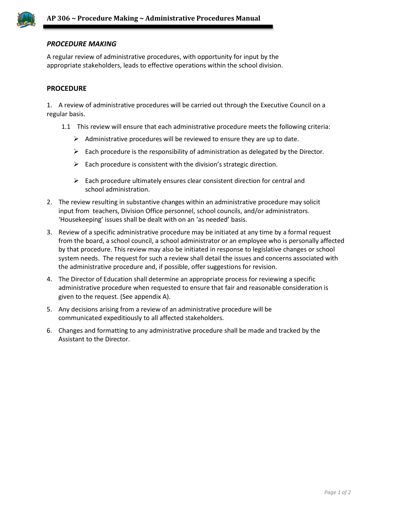

# *PROCEDURE MAKING21 – RISTRATIVE POLICYS*

A regular review of administrative procedures, with opportunity for input by the appropriate stakeholders, leads to effective operations within the school division.

## **PROCEDURE**

1. A review of administrative procedures will be carried out through the Executive Council on a regular basis.

- 1.1 This review will ensure that each administrative procedure meets the following criteria:
	- $\triangleright$  Administrative procedures will be reviewed to ensure they are up to date.
	- $\triangleright$  Each procedure is the responsibility of administration as delegated by the Director.
	- $\triangleright$  Each procedure is consistent with the division's strategic direction.
	- $\triangleright$  Each procedure ultimately ensures clear consistent direction for central and school administration.
- 2. The review resulting in substantive changes within an administrative procedure may solicit input from teachers, Division Office personnel, school councils, and/or administrators. 'Housekeeping' issues shall be dealt with on an 'as needed' basis.
- 3. Review of a specific administrative procedure may be initiated at any time by a formal request from the board, a school council, a school administrator or an employee who is personally affected by that procedure. This review may also be initiated in response to legislative changes or school system needs. The request for such a review shall detail the issues and concerns associated with the administrative procedure and, if possible, offer suggestions for revision.
- 4. The Director of Education shall determine an appropriate process for reviewing a specific administrative procedure when requested to ensure that fair and reasonable consideration is given to the request. (See appendix A).
- 5. Any decisions arising from a review of an administrative procedure will be communicated expeditiously to all affected stakeholders.
- 6. Changes and formatting to any administrative procedure shall be made and tracked by the Assistant to the Director.